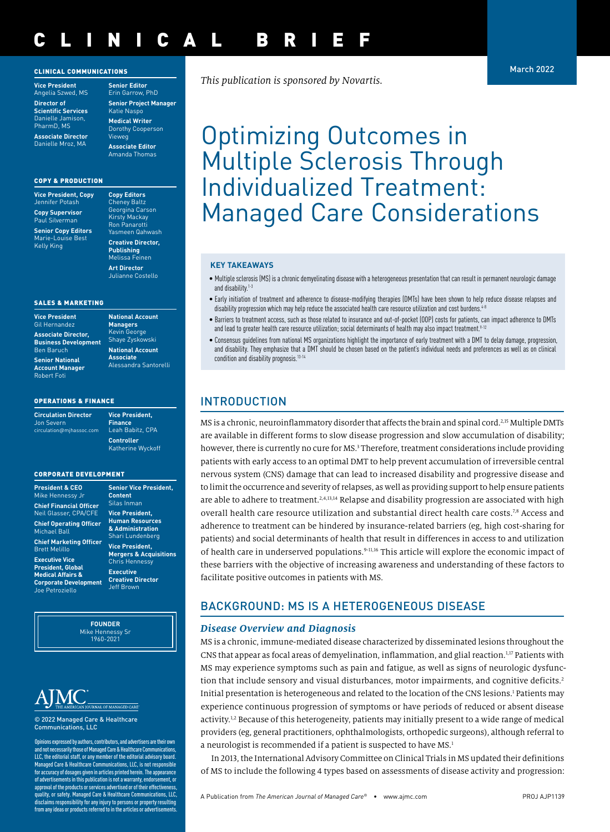#### CLINICAL COMMUNICATIONS

**Vice President** Angelia Szwed, MS **Director of Scientific Services** Danielle Jamison, PharmD, MS

**Associate Director** Danielle Mroz, MA

Erin Garrow, PhD **Senior Project Manager** Katie Naspo **Medical Writer** Dorothy Cooperson Vieweg **Associate Editor** Amanda Thomas

**Senior Editor**

#### COPY & PRODUCTION

| <b>Vice President, Copy</b><br>Jennifer Potash                |
|---------------------------------------------------------------|
| <b>Copy Supervisor</b><br>Paul Silverman                      |
| <b>Senior Copy Editors</b><br>Marie-Louise Best<br>Kelly King |

**Copy Editors** Cheney Baltz Georgina Carson Kirsty Mackay Ron Panarotti Yasmeen Qahwash **Creative Director, Publishing** Melissa Feinen **Art Director** Julianne Costello

#### SALES & MARKETING

**Vice President**  Gil Hernand **Associate Director, Business Development Ben Baruch Senior National Account Manager** Robert Foti

**Managers** Kevin George Shaye Zyskowski **National Account Associate** Alessandra Santorelli

**National Account** 

#### OPERATIONS & FINANCE

**Circulation Director** Jon Severn circulation@mjhassoc.com

**Vice President, Finance** Leah Babitz, CPA **Controller**  Katherine Wyckoff

**President.** 

lent. **burces** ration enberg ent. **Mergers & Acquisitions** essy

rector

#### CORPORATE DEVELOPMENT

| <b>President &amp; CEO</b>                               | <b>Senior Vice</b>                                            |
|----------------------------------------------------------|---------------------------------------------------------------|
| Mike Hennessy Jr                                         | <b>Content</b>                                                |
| <b>Chief Financial Officer</b>                           | Silas Inman                                                   |
| <b>Neil Glasser, CPA/CFE</b>                             | <b>Vice Preside</b>                                           |
| <b>Chief Operating Officer</b><br>Michael Ball           | <b>Human Res</b><br>& Administi<br>Shari Lunde                |
| <b>Chief Marketing Officer</b>                           |                                                               |
| <b>Brett Melillo</b>                                     | <b>Vice Preside</b><br>Mergers &                              |
| <b>Executive Vice</b>                                    | <b>Chris Henne</b>                                            |
| <b>President, Global</b><br><b>Medical Affairs &amp;</b> | <b>Executive</b><br><b>Creative Dire</b><br><b>Jeff Brown</b> |
| <b>Corporate Development</b>                             |                                                               |
| Joe Petroziello                                          |                                                               |
|                                                          |                                                               |

**FOUNDER** Mike Hennessy Sr 1960-2021



© 2022 Managed Care & Healthcare Communications, LLC

Opinions expressed by authors, contributors, and advertisers are their own and not necessarily those of Managed Care & Healthcare Communications, LLC, the editorial staff, or any member of the editorial advisory board. Managed Care & Healthcare Communications, LLC, is not responsible for accuracy of dosages given in articles printed herein. The appearance of advertisements in this publication is not a warranty, endorsement, or approval of the products or services advertised or of their effectiveness, quality, or safety. Managed Care & Healthcare Communications, LLC, disclaims responsibility for any injury to persons or property resulting from any ideas or products referred to in the articles or advertisements.

*This publication is sponsored by Novartis.*

# Optimizing Outcomes in Multiple Sclerosis Through Individualized Treatment: Managed Care Considerations

#### **KEY TAKEAWAYS**

- Multiple sclerosis (MS) is a chronic demyelinating disease with a heterogeneous presentation that can result in permanent neurologic damage and disability.1-3
- Early initiation of treatment and adherence to disease-modifying therapies (DMTs) have been shown to help reduce disease relapses and disability progression which may help reduce the associated health care resource utilization and cost burdens.<sup>4-8</sup>
- Barriers to treatment access, such as those related to insurance and out-of-pocket (OOP) costs for patients, can impact adherence to DMTs and lead to greater health care resource utilization; social determinants of health may also impact treatment.<sup>9-12</sup>
- Consensus guidelines from national MS organizations highlight the importance of early treatment with a DMT to delay damage, progression, and disability. They emphasize that a DMT should be chosen based on the patient's individual needs and preferences as well as on clinical condition and disability prognosis.<sup>13-14</sup>

## INTRODUCTION

MS is a chronic, neuroinflammatory disorder that affects the brain and spinal cord.2,15 Multiple DMTs are available in different forms to slow disease progression and slow accumulation of disability; however, there is currently no cure for MS.<sup>3</sup> Therefore, treatment considerations include providing patients with early access to an optimal DMT to help prevent accumulation of irreversible central nervous system (CNS) damage that can lead to increased disability and progressive disease and to limit the occurrence and severity of relapses, as well as providing support to help ensure patients are able to adhere to treatment.<sup>2,4,13,14</sup> Relapse and disability progression are associated with high overall health care resource utilization and substantial direct health care costs.7,8 Access and adherence to treatment can be hindered by insurance-related barriers (eg, high cost-sharing for patients) and social determinants of health that result in differences in access to and utilization of health care in underserved populations.<sup>9-11,16</sup> This article will explore the economic impact of these barriers with the objective of increasing awareness and understanding of these factors to facilitate positive outcomes in patients with MS.

## BACKGROUND: MS IS A HETEROGENEOUS DISEASE

#### *Disease Overview and Diagnosis*

MS is a chronic, immune-mediated disease characterized by disseminated lesions throughout the CNS that appear as focal areas of demyelination, inflammation, and glial reaction.<sup>1,17</sup> Patients with MS may experience symptoms such as pain and fatigue, as well as signs of neurologic dysfunction that include sensory and visual disturbances, motor impairments, and cognitive deficits.<sup>2</sup> Initial presentation is heterogeneous and related to the location of the CNS lesions.<sup>1</sup> Patients may experience continuous progression of symptoms or have periods of reduced or absent disease activity.<sup>1,2</sup> Because of this heterogeneity, patients may initially present to a wide range of medical providers (eg, general practitioners, ophthalmologists, orthopedic surgeons), although referral to a neurologist is recommended if a patient is suspected to have MS.<sup>1</sup>

In 2013, the International Advisory Committee on Clinical Trials in MS updated their definitions of MS to include the following 4 types based on assessments of disease activity and progression:

March 2022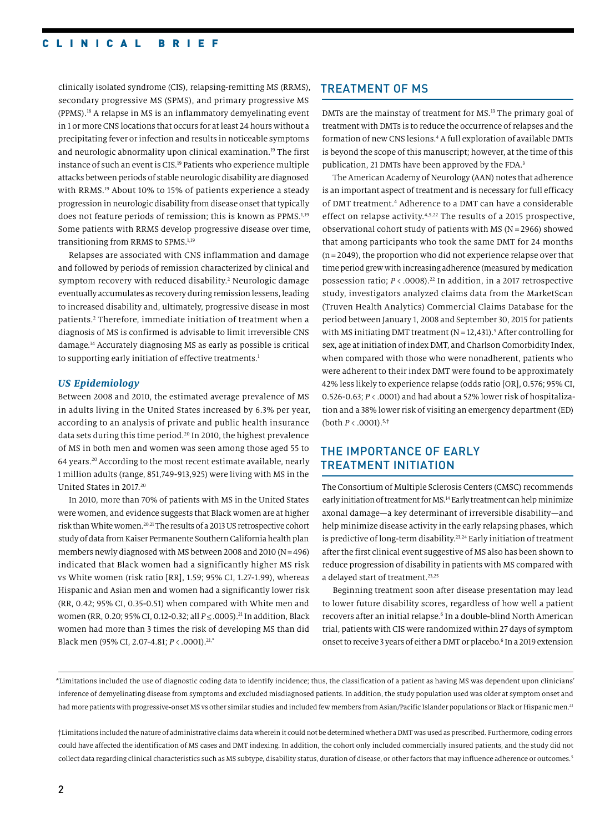clinically isolated syndrome (CIS), relapsing-remitting MS (RRMS), secondary progressive MS (SPMS), and primary progressive MS (PPMS).18 A relapse in MS is an inflammatory demyelinating event in 1 or more CNS locations that occurs for at least 24 hours without a precipitating fever or infection and results in noticeable symptoms and neurologic abnormality upon clinical examination.19 The first instance of such an event is CIS.19 Patients who experience multiple attacks between periods of stable neurologic disability are diagnosed with RRMS.<sup>19</sup> About 10% to 15% of patients experience a steady progression in neurologic disability from disease onset that typically does not feature periods of remission; this is known as PPMS.<sup>1,19</sup> Some patients with RRMS develop progressive disease over time, transitioning from RRMS to SPMS.1,19

Relapses are associated with CNS inflammation and damage and followed by periods of remission characterized by clinical and symptom recovery with reduced disability.<sup>2</sup> Neurologic damage eventually accumulates as recovery during remission lessens, leading to increased disability and, ultimately, progressive disease in most patients.<sup>2</sup> Therefore, immediate initiation of treatment when a diagnosis of MS is confirmed is advisable to limit irreversible CNS damage.14 Accurately diagnosing MS as early as possible is critical to supporting early initiation of effective treatments.<sup>1</sup>

#### *US Epidemiology*

Between 2008 and 2010, the estimated average prevalence of MS in adults living in the United States increased by 6.3% per year, according to an analysis of private and public health insurance data sets during this time period.<sup>20</sup> In 2010, the highest prevalence of MS in both men and women was seen among those aged 55 to 64 years.20 According to the most recent estimate available, nearly 1 million adults (range, 851,749-913,925) were living with MS in the United States in 2017.20

In 2010, more than 70% of patients with MS in the United States were women, and evidence suggests that Black women are at higher risk than White women.20,21 The results of a 2013 US retrospective cohort study of data from Kaiser Permanente Southern California health plan members newly diagnosed with MS between 2008 and 2010 (N=496) indicated that Black women had a significantly higher MS risk vs White women (risk ratio [RR], 1.59; 95% CI, 1.27-1.99), whereas Hispanic and Asian men and women had a significantly lower risk (RR, 0.42; 95% CI, 0.35-0.51) when compared with White men and women (RR, 0.20; 95% CI, 0.12-0.32; all *P* ≤ .0005).<sup>21</sup> In addition, Black women had more than 3 times the risk of developing MS than did Black men (95% CI, 2.07-4.81; *P*<.0001).21,**\***

#### TREATMENT OF MS

DMTs are the mainstay of treatment for MS.13 The primary goal of treatment with DMTs is to reduce the occurrence of relapses and the formation of new CNS lesions.4 A full exploration of available DMTs is beyond the scope of this manuscript; however, at the time of this publication, 21 DMTs have been approved by the FDA.<sup>3</sup>

The American Academy of Neurology (AAN) notes that adherence is an important aspect of treatment and is necessary for full efficacy of DMT treatment.4 Adherence to a DMT can have a considerable effect on relapse activity.4,5,22 The results of a 2015 prospective, observational cohort study of patients with MS (N= 2966) showed that among participants who took the same DMT for 24 months (n= 2049), the proportion who did not experience relapse over that time period grew with increasing adherence (measured by medication possession ratio; *P* < .0008).22 In addition, in a 2017 retrospective study, investigators analyzed claims data from the MarketScan (Truven Health Analytics) Commercial Claims Database for the period between January 1, 2008 and September 30, 2015 for patients with MS initiating DMT treatment ( $N = 12,431$ ).<sup>5</sup> After controlling for sex, age at initiation of index DMT, and Charlson Comorbidity Index, when compared with those who were nonadherent, patients who were adherent to their index DMT were found to be approximately 42% less likely to experience relapse (odds ratio [OR], 0.576; 95% CI, 0.526-0.63; *P* < .0001) and had about a 52% lower risk of hospitalization and a 38% lower risk of visiting an emergency department (ED) (both *P* < .0001).5,**†**

## THE IMPORTANCE OF EARLY TREATMENT INITIATION

The Consortium of Multiple Sclerosis Centers (CMSC) recommends early initiation of treatment for MS.<sup>14</sup> Early treatment can help minimize axonal damage—a key determinant of irreversible disability—and help minimize disease activity in the early relapsing phases, which is predictive of long-term disability.23,24 Early initiation of treatment after the first clinical event suggestive of MS also has been shown to reduce progression of disability in patients with MS compared with a delayed start of treatment.<sup>23,25</sup>

Beginning treatment soon after disease presentation may lead to lower future disability scores, regardless of how well a patient recovers after an initial relapse.<sup>6</sup> In a double-blind North American trial, patients with CIS were randomized within 27 days of symptom onset to receive 3 years of either a DMT or placebo.6 In a 2019 extension

\*Limitations included the use of diagnostic coding data to identify incidence; thus, the classification of a patient as having MS was dependent upon clinicians' inference of demyelinating disease from symptoms and excluded misdiagnosed patients. In addition, the study population used was older at symptom onset and had more patients with progressive-onset MS vs other similar studies and included few members from Asian/Pacific Islander populations or Black or Hispanic men.<sup>21</sup>

†Limitations included the nature of administrative claims data wherein it could not be determined whether a DMT was used as prescribed. Furthermore, coding errors could have affected the identification of MS cases and DMT indexing. In addition, the cohort only included commercially insured patients, and the study did not collect data regarding clinical characteristics such as MS subtype, disability status, duration of disease, or other factors that may influence adherence or outcomes.<sup>5</sup>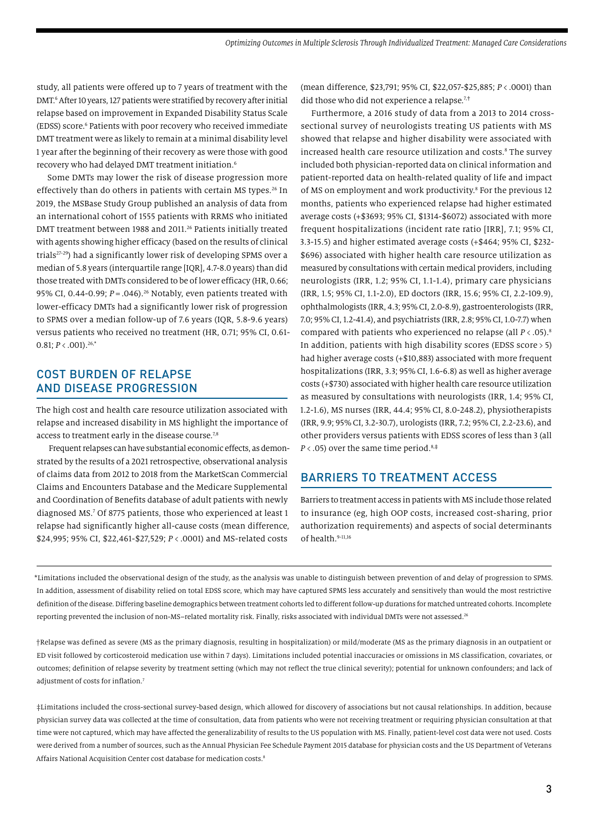study, all patients were offered up to 7 years of treatment with the DMT.6 After 10 years, 127 patients were stratified by recovery after initial relapse based on improvement in Expanded Disability Status Scale (EDSS) score.<sup>6</sup> Patients with poor recovery who received immediate DMT treatment were as likely to remain at a minimal disability level 1 year after the beginning of their recovery as were those with good recovery who had delayed DMT treatment initiation.6

Some DMTs may lower the risk of disease progression more effectively than do others in patients with certain MS types.<sup>26</sup> In 2019, the MSBase Study Group published an analysis of data from an international cohort of 1555 patients with RRMS who initiated DMT treatment between 1988 and 2011.<sup>26</sup> Patients initially treated with agents showing higher efficacy (based on the results of clinical trials27-29) had a significantly lower risk of developing SPMS over a median of 5.8 years (interquartile range [IQR], 4.7-8.0 years) than did those treated with DMTs considered to be of lower efficacy (HR, 0.66; 95% CI, 0.44-0.99; *P* = .046).<sup>26</sup> Notably, even patients treated with lower-efficacy DMTs had a significantly lower risk of progression to SPMS over a median follow-up of 7.6 years (IQR, 5.8-9.6 years) versus patients who received no treatment (HR, 0.71; 95% CI, 0.61- 0.81; *P*<.001).26,**\***

## COST BURDEN OF RELAPSE AND DISEASE PROGRESSION

The high cost and health care resource utilization associated with relapse and increased disability in MS highlight the importance of access to treatment early in the disease course.<sup>7,8</sup>

 Frequent relapses can have substantial economic effects, as demonstrated by the results of a 2021 retrospective, observational analysis of claims data from 2012 to 2018 from the MarketScan Commercial Claims and Encounters Database and the Medicare Supplemental and Coordination of Benefits database of adult patients with newly diagnosed MS.7 Of 8775 patients, those who experienced at least 1 relapse had significantly higher all-cause costs (mean difference, \$24,995; 95% CI, \$22,461-\$27,529; *P* < .0001) and MS-related costs

(mean difference, \$23,791; 95% CI, \$22,057-\$25,885; *P*<.0001) than did those who did not experience a relapse.7,**†**

Furthermore, a 2016 study of data from a 2013 to 2014 crosssectional survey of neurologists treating US patients with MS showed that relapse and higher disability were associated with increased health care resource utilization and costs.8 The survey included both physician-reported data on clinical information and patient-reported data on health-related quality of life and impact of MS on employment and work productivity.<sup>8</sup> For the previous 12 months, patients who experienced relapse had higher estimated average costs (+\$3693; 95% CI, \$1314-\$6072) associated with more frequent hospitalizations (incident rate ratio [IRR], 7.1; 95% CI, 3.3-15.5) and higher estimated average costs (+\$464; 95% CI, \$232- \$696) associated with higher health care resource utilization as measured by consultations with certain medical providers, including neurologists (IRR, 1.2; 95% CI, 1.1-1.4), primary care physicians (IRR, 1.5; 95% CI, 1.1-2.0), ED doctors (IRR, 15.6; 95% CI, 2.2-109.9), ophthalmologists (IRR, 4.3; 95% CI, 2.0-8.9), gastroenterologists (IRR, 7.0; 95% CI, 1.2-41.4), and psychiatrists (IRR, 2.8; 95% CI, 1.0-7.7) when compared with patients who experienced no relapse (all *P* < .05).8 In addition, patients with high disability scores (EDSS score > 5) had higher average costs (+\$10,883) associated with more frequent hospitalizations (IRR, 3.3; 95% CI, 1.6-6.8) as well as higher average costs (+\$730) associated with higher health care resource utilization as measured by consultations with neurologists (IRR, 1.4; 95% CI, 1.2-1.6), MS nurses (IRR, 44.4; 95% CI, 8.0-248.2), physiotherapists (IRR, 9.9; 95% CI, 3.2-30.7), urologists (IRR, 7.2; 95% CI, 2.2-23.6), and other providers versus patients with EDSS scores of less than 3 (all *P* < .05) over the same time period.8,**‡**

#### BARRIERS TO TREATMENT ACCESS

Barriers to treatment access in patients with MS include those related to insurance (eg, high OOP costs, increased cost-sharing, prior authorization requirements) and aspects of social determinants of health.<sup>9-11,16</sup>

\*Limitations included the observational design of the study, as the analysis was unable to distinguish between prevention of and delay of progression to SPMS. In addition, assessment of disability relied on total EDSS score, which may have captured SPMS less accurately and sensitively than would the most restrictive definition of the disease. Differing baseline demographics between treatment cohorts led to different follow-up durations for matched untreated cohorts. Incomplete reporting prevented the inclusion of non-MS-related mortality risk. Finally, risks associated with individual DMTs were not assessed.<sup>26</sup>

†Relapse was defined as severe (MS as the primary diagnosis, resulting in hospitalization) or mild/moderate (MS as the primary diagnosis in an outpatient or ED visit followed by corticosteroid medication use within 7 days). Limitations included potential inaccuracies or omissions in MS classification, covariates, or outcomes; definition of relapse severity by treatment setting (which may not reflect the true clinical severity); potential for unknown confounders; and lack of adjustment of costs for inflation.7

‡Limitations included the cross-sectional survey-based design, which allowed for discovery of associations but not causal relationships. In addition, because physician survey data was collected at the time of consultation, data from patients who were not receiving treatment or requiring physician consultation at that time were not captured, which may have affected the generalizability of results to the US population with MS. Finally, patient-level cost data were not used. Costs were derived from a number of sources, such as the Annual Physician Fee Schedule Payment 2015 database for physician costs and the US Department of Veterans Affairs National Acquisition Center cost database for medication costs.<sup>8</sup>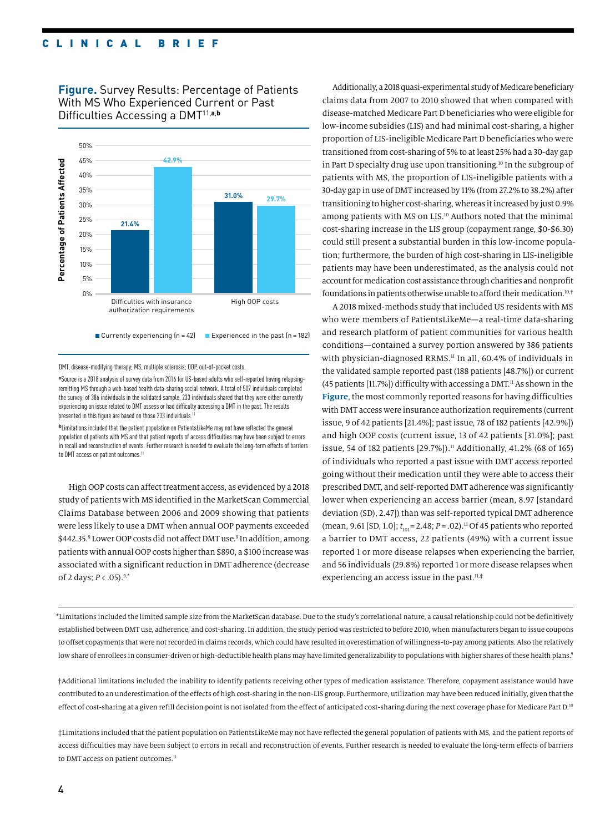**Figure.** Survey Results: Percentage of Patients<br>With MS Who Experienced Current or Past<br>Difficulties Accessing a DMT<sup>11,a,b</sup> With MS Who Experienced Current or Past Difficulties Accessing a DMT11,**a**,**b**



DMT, disease-modifying therapy; MS, multiple sclerosis; OOP, out-of-pocket costs.

**a** Source is a 2018 analysis of survey data from 2016 for US-based adults who self-reported having relapsingremitting MS through a web-based health data-sharing social network. A total of 507 individuals completed the survey; of 386 individuals in the validated sample, 233 individuals shared that they were either currently experiencing an issue related to DMT assess or had difficulty accessing a DMT in the past. The results presented in this figure are based on those 233 individuals.<sup>1</sup>

**b** Limitations included that the patient population on PatientsLikeMe may not have reflected the general population of patients with MS and that patient reports of access difficulties may have been subject to errors in recall and reconstruction of events. Further research is needed to evaluate the long-term effects of barriers to DMT access on patient outcomes.<sup>11</sup>

High OOP costs can affect treatment access, as evidenced by a 2018 study of patients with MS identified in the MarketScan Commercial Claims Database between 2006 and 2009 showing that patients were less likely to use a DMT when annual OOP payments exceeded \$442.35.<sup>9</sup> Lower OOP costs did not affect DMT use.<sup>9</sup> In addition, among patients with annual OOP costs higher than \$890, a \$100 increase was associated with a significant reduction in DMT adherence (decrease of 2 days; *P*<.05).9,**\***

Additionally, a 2018 quasi-experimental study of Medicare beneficiary claims data from 2007 to 2010 showed that when compared with disease-matched Medicare Part D beneficiaries who were eligible for low-income subsidies (LIS) and had minimal cost-sharing, a higher proportion of LIS-ineligible Medicare Part D beneficiaries who were transitioned from cost-sharing of 5% to at least 25% had a 30-day gap in Part D specialty drug use upon transitioning.<sup>10</sup> In the subgroup of patients with MS, the proportion of LIS-ineligible patients with a 30-day gap in use of DMT increased by 11% (from 27.2% to 38.2%) after transitioning to higher cost-sharing, whereas it increased by just 0.9% among patients with MS on LIS.10 Authors noted that the minimal cost-sharing increase in the LIS group (copayment range, \$0-\$6.30) could still present a substantial burden in this low-income population; furthermore, the burden of high cost-sharing in LIS-ineligible patients may have been underestimated, as the analysis could not account for medication cost assistance through charities and nonprofit foundations in patients otherwise unable to afford their medication.10,**†**

A 2018 mixed-methods study that included US residents with MS who were members of PatientsLikeMe—a real-time data-sharing and research platform of patient communities for various health conditions—contained a survey portion answered by 386 patients with physician-diagnosed RRMS.<sup>11</sup> In all, 60.4% of individuals in the validated sample reported past (188 patients [48.7%]) or current (45 patients [11.7%]) difficulty with accessing a DMT.<sup>11</sup> As shown in the **Figure**, the most commonly reported reasons for having difficulties with DMT access were insurance authorization requirements (current issue, 9 of 42 patients [21.4%]; past issue, 78 of 182 patients [42.9%]) and high OOP costs (current issue, 13 of 42 patients [31.0%]; past issue, 54 of 182 patients [29.7%]).<sup>11</sup> Additionally, 41.2% (68 of 165) of individuals who reported a past issue with DMT access reported going without their medication until they were able to access their prescribed DMT, and self-reported DMT adherence was significantly lower when experiencing an access barrier (mean, 8.97 [standard deviation (SD), 2.47]) than was self-reported typical DMT adherence (mean, 9.61 [SD, 1.0];  $t_{\text{101}}$  = 2.48; *P* = .02).<sup>11</sup> Of 45 patients who reported a barrier to DMT access, 22 patients (49%) with a current issue reported 1 or more disease relapses when experiencing the barrier, and 56 individuals (29.8%) reported 1 or more disease relapses when experiencing an access issue in the past.11,**‡**

\*Limitations included the limited sample size from the MarketScan database. Due to the study's correlational nature, a causal relationship could not be definitively established between DMT use, adherence, and cost-sharing. In addition, the study period was restricted to before 2010, when manufacturers began to issue coupons to offset copayments that were not recorded in claims records, which could have resulted in overestimation of willingness-to-pay among patients. Also the relatively low share of enrollees in consumer-driven or high-deductible health plans may have limited generalizability to populations with higher shares of these health plans.9

†Additional limitations included the inability to identify patients receiving other types of medication assistance. Therefore, copayment assistance would have contributed to an underestimation of the effects of high cost-sharing in the non-LIS group. Furthermore, utilization may have been reduced initially, given that the effect of cost-sharing at a given refill decision point is not isolated from the effect of anticipated cost-sharing during the next coverage phase for Medicare Part D.<sup>10</sup>

‡Limitations included that the patient population on PatientsLikeMe may not have reflected the general population of patients with MS, and the patient reports of access difficulties may have been subject to errors in recall and reconstruction of events. Further research is needed to evaluate the long-term effects of barriers to DMT access on patient outcomes.<sup>11</sup>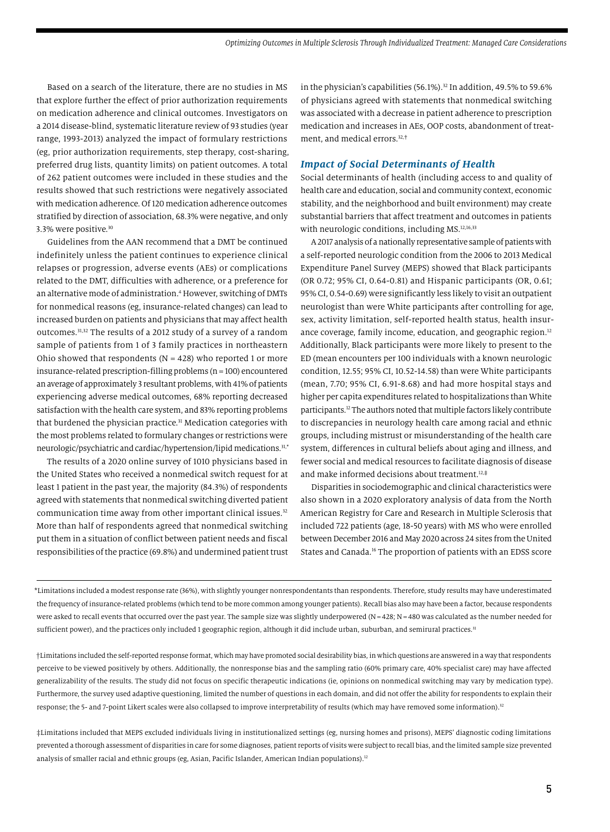Based on a search of the literature, there are no studies in MS that explore further the effect of prior authorization requirements on medication adherence and clinical outcomes. Investigators on a 2014 disease-blind, systematic literature review of 93 studies (year range, 1993-2013) analyzed the impact of formulary restrictions (eg, prior authorization requirements, step therapy, cost-sharing, preferred drug lists, quantity limits) on patient outcomes. A total of 262 patient outcomes were included in these studies and the results showed that such restrictions were negatively associated with medication adherence. Of 120 medication adherence outcomes stratified by direction of association, 68.3% were negative, and only 3.3% were positive.30

Guidelines from the AAN recommend that a DMT be continued indefinitely unless the patient continues to experience clinical relapses or progression, adverse events (AEs) or complications related to the DMT, difficulties with adherence, or a preference for an alternative mode of administration.<sup>4</sup> However, switching of DMTs for nonmedical reasons (eg, insurance-related changes) can lead to increased burden on patients and physicians that may affect health outcomes.31,32 The results of a 2012 study of a survey of a random sample of patients from 1 of 3 family practices in northeastern Ohio showed that respondents ( $N = 428$ ) who reported 1 or more insurance-related prescription-filling problems (n = 100) encountered an average of approximately 3 resultant problems, with 41% of patients experiencing adverse medical outcomes, 68% reporting decreased satisfaction with the health care system, and 83% reporting problems that burdened the physician practice.<sup>31</sup> Medication categories with the most problems related to formulary changes or restrictions were neurologic/psychiatric and cardiac/hypertension/lipid medications.31,**\***

The results of a 2020 online survey of 1010 physicians based in the United States who received a nonmedical switch request for at least 1 patient in the past year, the majority (84.3%) of respondents agreed with statements that nonmedical switching diverted patient communication time away from other important clinical issues.<sup>32</sup> More than half of respondents agreed that nonmedical switching put them in a situation of conflict between patient needs and fiscal responsibilities of the practice (69.8%) and undermined patient trust in the physician's capabilities (56.1%).<sup>32</sup> In addition, 49.5% to 59.6% of physicians agreed with statements that nonmedical switching was associated with a decrease in patient adherence to prescription medication and increases in AEs, OOP costs, abandonment of treatment, and medical errors.32,**†**

#### *Impact of Social Determinants of Health*

Social determinants of health (including access to and quality of health care and education, social and community context, economic stability, and the neighborhood and built environment) may create substantial barriers that affect treatment and outcomes in patients with neurologic conditions, including MS.<sup>12,16,33</sup>

A 2017 analysis of a nationally representative sample of patients with a self-reported neurologic condition from the 2006 to 2013 Medical Expenditure Panel Survey (MEPS) showed that Black participants (OR 0.72; 95% CI, 0.64-0.81) and Hispanic participants (OR, 0.61; 95% CI, 0.54-0.69) were significantly less likely to visit an outpatient neurologist than were White participants after controlling for age, sex, activity limitation, self-reported health status, health insurance coverage, family income, education, and geographic region.<sup>12</sup> Additionally, Black participants were more likely to present to the ED (mean encounters per 100 individuals with a known neurologic condition, 12.55; 95% CI, 10.52-14.58) than were White participants (mean, 7.70; 95% CI, 6.91-8.68) and had more hospital stays and higher per capita expenditures related to hospitalizations than White participants.12 The authors noted that multiple factors likely contribute to discrepancies in neurology health care among racial and ethnic groups, including mistrust or misunderstanding of the health care system, differences in cultural beliefs about aging and illness, and fewer social and medical resources to facilitate diagnosis of disease and make informed decisions about treatment.12,**‡**

Disparities in sociodemographic and clinical characteristics were also shown in a 2020 exploratory analysis of data from the North American Registry for Care and Research in Multiple Sclerosis that included 722 patients (age, 18-50 years) with MS who were enrolled between December 2016 and May 2020 across 24 sites from the United States and Canada.16 The proportion of patients with an EDSS score

\*Limitations included a modest response rate (36%), with slightly younger nonrespondentants than respondents. Therefore, study results may have underestimated the frequency of insurance-related problems (which tend to be more common among younger patients). Recall bias also may have been a factor, because respondents were asked to recall events that occurred over the past year. The sample size was slightly underpowered (N=428; N=480 was calculated as the number needed for sufficient power), and the practices only included 1 geographic region, although it did include urban, suburban, and semirural practices.<sup>31</sup>

†Limitations included the self-reported response format, which may have promoted social desirability bias, in which questions are answered in a way that respondents perceive to be viewed positively by others. Additionally, the nonresponse bias and the sampling ratio (60% primary care, 40% specialist care) may have affected generalizability of the results. The study did not focus on specific therapeutic indications (ie, opinions on nonmedical switching may vary by medication type). Furthermore, the survey used adaptive questioning, limited the number of questions in each domain, and did not offer the ability for respondents to explain their response; the 5- and 7-point Likert scales were also collapsed to improve interpretability of results (which may have removed some information).<sup>32</sup>

‡Limitations included that MEPS excluded individuals living in institutionalized settings (eg, nursing homes and prisons), MEPS' diagnostic coding limitations prevented a thorough assessment of disparities in care for some diagnoses, patient reports of visits were subject to recall bias, and the limited sample size prevented analysis of smaller racial and ethnic groups (eg, Asian, Pacific Islander, American Indian populations).<sup>12</sup>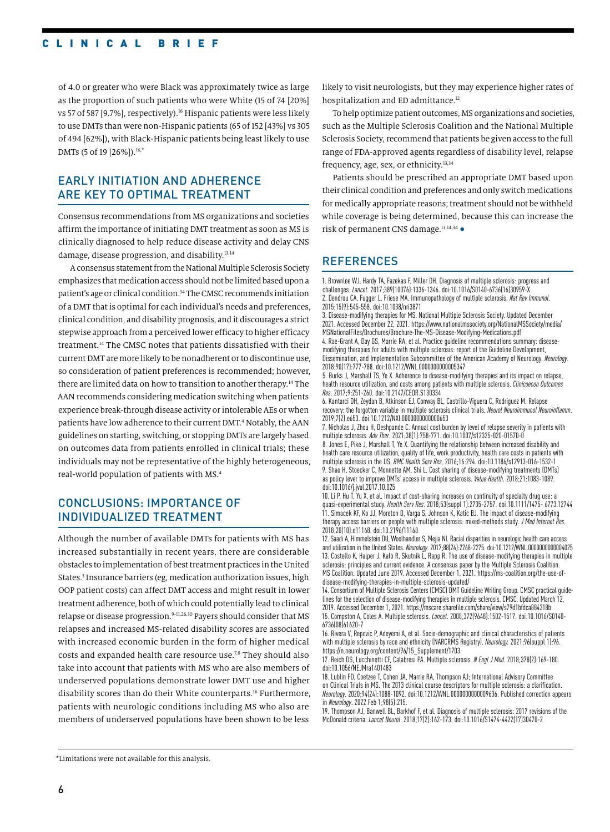of 4.0 or greater who were Black was approximately twice as large as the proportion of such patients who were White (15 of 74 [20%] vs 57 of 587 [9.7%], respectively).<sup>16</sup> Hispanic patients were less likely to use DMTs than were non-Hispanic patients (65 of 152 [43%] vs 305 of 494 [62%]), with Black-Hispanic patients being least likely to use DMTs (5 of 19 [26%]).<sup>16,\*</sup>

## EARLY INITIATION AND ADHERENCE ARE KEY TO OPTIMAL TREATMENT

Consensus recommendations from MS organizations and societies affirm the importance of initiating DMT treatment as soon as MS is clinically diagnosed to help reduce disease activity and delay CNS damage, disease progression, and disability.13,14

 A consensus statement from the National Multiple Sclerosis Society emphasizes that medication access should not be limited based upon a patient's age or clinical condition.<sup>34</sup> The CMSC recommends initiation of a DMT that is optimal for each individual's needs and preferences, clinical condition, and disability prognosis, and it discourages a strict stepwise approach from a perceived lower efficacy to higher efficacy treatment.14 The CMSC notes that patients dissatisfied with their current DMT are more likely to be nonadherent or to discontinue use, so consideration of patient preferences is recommended; however, there are limited data on how to transition to another therapy.14 The AAN recommends considering medication switching when patients experience break-through disease activity or intolerable AEs or when patients have low adherence to their current DMT.<sup>4</sup> Notably, the AAN guidelines on starting, switching, or stopping DMTs are largely based on outcomes data from patients enrolled in clinical trials; these individuals may not be representative of the highly heterogeneous, real-world population of patients with MS.4

## CONCLUSIONS: IMPORTANCE OF INDIVIDUALIZED TREATMENT

Although the number of available DMTs for patients with MS has increased substantially in recent years, there are considerable obstacles to implementation of best treatment practices in the United States.<sup>3</sup> Insurance barriers (eg, medication authorization issues, high OOP patient costs) can affect DMT access and might result in lower treatment adherence, both of which could potentially lead to clinical relapse or disease progression.<sup>9-11,26,30</sup> Payers should consider that MS relapses and increased MS-related disability scores are associated with increased economic burden in the form of higher medical costs and expanded health care resource use.7,8 They should also take into account that patients with MS who are also members of underserved populations demonstrate lower DMT use and higher disability scores than do their White counterparts.<sup>16</sup> Furthermore, patients with neurologic conditions including MS who also are members of underserved populations have been shown to be less

likely to visit neurologists, but they may experience higher rates of hospitalization and ED admittance.<sup>12</sup>

To help optimize patient outcomes, MS organizations and societies, such as the Multiple Sclerosis Coalition and the National Multiple Sclerosis Society, recommend that patients be given access to the full range of FDA-approved agents regardless of disability level, relapse frequency, age, sex, or ethnicity.<sup>13,34</sup>

Patients should be prescribed an appropriate DMT based upon their clinical condition and preferences and only switch medications for medically appropriate reasons; treatment should not be withheld while coverage is being determined, because this can increase the risk of permanent CNS damage.13,14,34 •

## **REFERENCES**

1. Brownlee WJ, Hardy TA, Fazekas F, Miller DH. Diagnosis of multiple sclerosis: progress and challenges. *Lancet*. 2017;389(10076):1336-1346. doi:10.1016/S0140-6736(16)30959-X 2. Dendrou CA, Fugger L, Friese MA. Immunopathology of multiple sclerosis. *Nat Rev Immunol*. 2015;15(9):545-558. doi:10.1038/nri3871

3. Disease-modifying therapies for MS. National Multiple Sclerosis Society. Updated December 2021. Accessed December 22, 2021. https://www.nationalmssociety.org/NationalMSSociety/media/ MSNationalFiles/Brochures/Brochure-The-MS-Disease-Modifying-Medications.pdf

4. Rae-Grant A, Day GS, Marrie RA, et al. Practice guideline recommendations summary: diseasemodifying therapies for adults with multiple sclerosis: report of the Guideline Development, Dissemination, and Implementation Subcommittee of the American Academy of Neurology. *Neurology*. 2018;90(17):777-788. doi:10.1212/WNL.0000000000005347

5. Burks J, Marshall TS, Ye X. Adherence to disease-modifying therapies and its impact on relapse, health resource utilization, and costs among patients with multiple sclerosis. *Clinicoecon Outcomes Res*. 2017;9:251-260. doi:10.2147/CEOR.S130334

6. Kantarci OH, Zeydan B, Atkinson EJ, Conway BL, Castrillo-Viguera C, Rodriguez M. Relapse recovery: the forgotten variable in multiple sclerosis clinical trials. *Neurol Neuroimmunol Neuroinflamm*. 2019;7(2):e653. doi:10.1212/NXI.0000000000000653

7. Nicholas J, Zhou H, Deshpande C. Annual cost burden by level of relapse severity in patients with multiple sclerosis. *Adv Ther*. 2021;38(1):758-771. doi:10.1007/s12325-020-01570-0

8. Jones E, Pike J, Marshall T, Ye X. Quantifying the relationship between increased disability and health care resource utilization, quality of life, work productivity, health care costs in patients with multiple sclerosis in the US. *BMC Health Serv Res*. 2016;16:294. doi:10.1186/s12913-016-1532-1 9. Shao H, Stoecker C, Monnette AM, Shi L. Cost sharing of disease-modifying treatments (DMTs) as policy lever to improve DMTs' access in multiple sclerosis. *Value Health*. 2018;21:1083-1089. doi:10.1016/j.jval.2017.10.025

10. Li P, Hu T, Yu X, et al. Impact of cost-sharing increases on continuity of specialty drug use: a quasi-experimental study. *Health Serv Res*. 2018;53(suppl 1):2735-2757. doi:10.1111/1475- 6773.12744 11. Simacek KF, Ko JJ, Moreton D, Varga S, Johnson K, Katic BJ. The impact of disease-modifying therapy access barriers on people with multiple sclerosis: mixed-methods study. *J Med Internet Res*. 2018;20(10):e11168. doi:10.2196/11168

12. Saadi A, Himmelstein DU, Woolhandler S, Mejia NI. Racial disparities in neurologic health care access and utilization in the United States. *Neurology*. 2017;88(24):2268-2275. doi:10.1212/WNL.0000000000004025 13. Costello K, Halper J, Kalb R, Skutnik L, Rapp R. The use of disease-modifying therapies in multiple sclerosis: principles and current evidence. A consensus paper by the Multiple Sclerosis Coalition. MS Coalition. Updated June 2019. Accessed December 1, 2021. https://ms-coalition.org/the-use-ofdisease-modifying-therapies-in-multiple-sclerosis-updated/

14. Consortium of Multiple Sclerosis Centers (CMSC) DMT Guideline Writing Group. CMSC practical guidelines for the selection of disease-modifying therapies in multiple sclerosis. CMSC. Updated March 12, 2019. Accessed December 1, 2021. https://mscare.sharefile.com/share/view/s79d1bfdca884318b 15. Compston A, Coles A. Multiple sclerosis. *Lancet*. 2008;372(9648):1502-1517. doi:10.1016/S0140- 6736(08)61620-7

16. Rivera V, Repovic P, Adeyemi A, et al. Socio-demographic and clinical characteristics of patients with multiple sclerosis by race and ethnicity (NARCRMS Registry). *Neurology.* 2021;96(suppl 1):96. https://n.neurology.org/content/96/15\_Supplement/1703

17. Reich DS, Lucchinetti CF, Calabresi PA. Multiple sclerosis. *N Engl J Med*. 2018;378(2):169-180. doi:10.1056/NEJMra1401483

18. Lublin FD, Coetzee T, Cohen JA, Marrie RA, Thompson AJ; International Advisory Committee on Clinical Trials in MS. The 2013 clinical course descriptors for multiple sclerosis: a clarification. *Neurology*. 2020;94(24):1088-1092. doi:10.1212/WNL.0000000000009636. Published correction appears in *Neurology*. 2022 Feb 1;98(5):215.

19. Thompson AJ, Banwell BL, Barkhof F, et al. Diagnosis of multiple sclerosis: 2017 revisions of the McDonald criteria. *Lancet Neurol*. 2018;17(2):162-173. doi:10.1016/S1474-4422(17)30470-2

\*Limitations were not available for this analysis.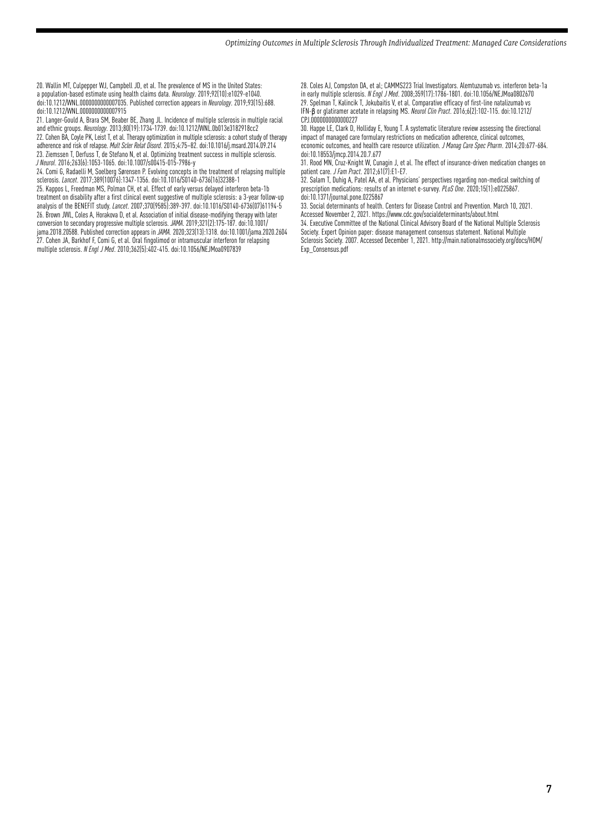20. Wallin MT, Culpepper WJ, Campbell JD, et al. The prevalence of MS in the United States: a population-based estimate using health claims data. *Neurology*. 2019;92(10):e1029-e1040. doi:10.1212/WNL.0000000000007035. Published correction appears in *Neurology*. 2019;93(15):688. doi:10.1212/WNL.0000000000007915

21. Langer-Gould A, Brara SM, Beaber BE, Zhang JL. Incidence of multiple sclerosis in multiple racial and ethnic groups. *Neurology*. 2013;80(19):1734-1739. doi:10.1212/WNL.0b013e3182918cc2 22. Cohen BA, Coyle PK, Leist T, et al. Therapy optimization in multiple sclerosis: a cohort study of therapy adherence and risk of relapse. *Mult Scler Relat Disord*. 2015;4:75–82. doi:10.1016/j.msard.2014.09.214 23. Ziemssen T, Derfuss T, de Stefano N, et al. Optimizing treatment success in multiple sclerosis. *J Neurol*. 2016;263(6):1053-1065. doi:10.1007/s00415-015-7986-y

24. Comi G, Radaelli M, Soelberg Sørensen P. Evolving concepts in the treatment of relapsing multiple sclerosis. *Lancet*. 2017;389(10076):1347-1356. doi:10.1016/S0140-6736(16)32388-1

25. Kappos L, Freedman MS, Polman CH, et al. Effect of early versus delayed interferon beta-1b treatment on disability after a first clinical event suggestive of multiple sclerosis: a 3-year follow-up analysis of the BENEFIT study. *Lancet*. 2007;370(9585):389-397. doi:10.1016/S0140-6736(07)61194-5 26. Brown JWL, Coles A, Horakova D, et al. Association of initial disease-modifying therapy with later conversion to secondary progressive multiple sclerosis. *JAMA*. 2019;321(2):175-187. doi:10.1001/ jama.2018.20588. Published correction appears in *JAMA.* 2020;323(13):1318. doi:10.1001/jama.2020.2604 27. Cohen JA, Barkhof F, Comi G, et al. Oral fingolimod or intramuscular interferon for relapsing multiple sclerosis. *N Engl J Med*. 2010;362(5):402-415. doi:10.1056/NEJMoa0907839

28. Coles AJ, Compston DA, et al; CAMMS223 Trial Investigators. Alemtuzumab vs. interferon beta-1a in early multiple sclerosis. *N Engl J Med*. 2008;359(17):1786-1801. doi:10.1056/NEJMoa0802670

29. Spelman T, Kalincik T, Jokubaitis V, et al. Comparative efficacy of first-line natalizumab vs IFN-β or glatiramer acetate in relapsing MS. *Neurol Clin Pract*. 2016;6(2):102-115. doi:10.1212/ CPJ.0000000000000227

30. Happe LE, Clark D, Holliday E, Young T. A systematic literature review assessing the directional impact of managed care formulary restrictions on medication adherence, clinical outcomes, economic outcomes, and health care resource utilization. *J Manag Care Spec Pharm*. 2014;20:677-684. doi:10.18553/jmcp.2014.20.7.677

31. Rood MN, Cruz-Knight W, Cunagin J, et al. The effect of insurance-driven medication changes on patient care. *J Fam Pract*. 2012;61(7):E1-E7.

32. Salam T, Duhig A, Patel AA, et al. Physicians' perspectives regarding non-medical switching of prescription medications: results of an internet e-survey. *PLoS One*. 2020;15(1):e0225867. doi:10.1371/journal.pone.0225867

33. Social determinants of health. Centers for Disease Control and Prevention. March 10, 2021. Accessed November 2, 2021. https://www.cdc.gov/socialdeterminants/about.html 34. Executive Committee of the National Clinical Advisory Board of the National Multiple Sclerosis Society. Expert Opinion paper: disease management consensus statement. National Multiple Sclerosis Society. 2007. Accessed December 1, 2021. http://main.nationalmssociety.org/docs/HOM/

Exp\_Consensus.pdf